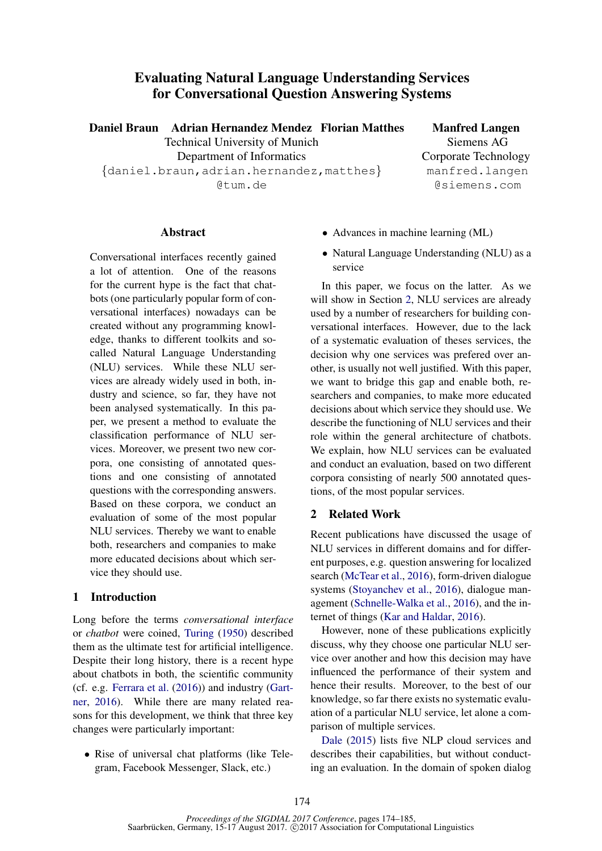# Evaluating Natural Language Understanding Services for Conversational Question Answering Systems

Daniel Braun Adrian Hernandez Mendez

Technical University of Munich Department of Informatics {daniel.braun,adrian.hernandez,matthes} @tum.de

**Manfred Langen** Siemens AG Corporate Technology manfred.langen @siemens.com

### **Abstract**

Conversational interfaces recently gained a lot of attention. One of the reasons for the current hype is the fact that chatbots (one particularly popular form of conversational interfaces) nowadays can be created without any programming knowledge, thanks to different toolkits and socalled Natural Language Understanding (NLU) services. While these NLU services are already widely used in both, industry and science, so far, they have not been analysed systematically. In this paper, we present a method to evaluate the classification performance of NLU services. Moreover, we present two new corpora, one consisting of annotated questions and one consisting of annotated questions with the corresponding answers. Based on these corpora, we conduct an evaluation of some of the most popular NLU services. Thereby we want to enable both, researchers and companies to make more educated decisions about which service they should use.

### 1 Introduction

Long before the terms *conversational interface* or *chatbot* were coined, Turing (1950) described them as the ultimate test for artificial intelligence. Despite their long history, there is a recent hype about chatbots in both, the scientific community (cf. e.g. Ferrara et al. (2016)) and industry (Gartner, 2016). While there are many related reasons for this development, we think that three key changes were particularly important:

• Rise of universal chat platforms (like Telegram, Facebook Messenger, Slack, etc.)

- Advances in machine learning (ML)
- Natural Language Understanding (NLU) as a service

In this paper, we focus on the latter. As we will show in Section 2, NLU services are already used by a number of researchers for building conversational interfaces. However, due to the lack of a systematic evaluation of theses services, the decision why one services was prefered over another, is usually not well justified. With this paper, we want to bridge this gap and enable both, researchers and companies, to make more educated decisions about which service they should use. We describe the functioning of NLU services and their role within the general architecture of chatbots. We explain, how NLU services can be evaluated and conduct an evaluation, based on two different corpora consisting of nearly 500 annotated questions, of the most popular services.

## 2 Related Work

Recent publications have discussed the usage of NLU services in different domains and for different purposes, e.g. question answering for localized search (McTear et al., 2016), form-driven dialogue systems (Stoyanchev et al., 2016), dialogue management (Schnelle-Walka et al., 2016), and the internet of things (Kar and Haldar, 2016).

However, none of these publications explicitly discuss, why they choose one particular NLU service over another and how this decision may have influenced the performance of their system and hence their results. Moreover, to the best of our knowledge, so far there exists no systematic evaluation of a particular NLU service, let alone a comparison of multiple services.

Dale (2015) lists five NLP cloud services and describes their capabilities, but without conducting an evaluation. In the domain of spoken dialog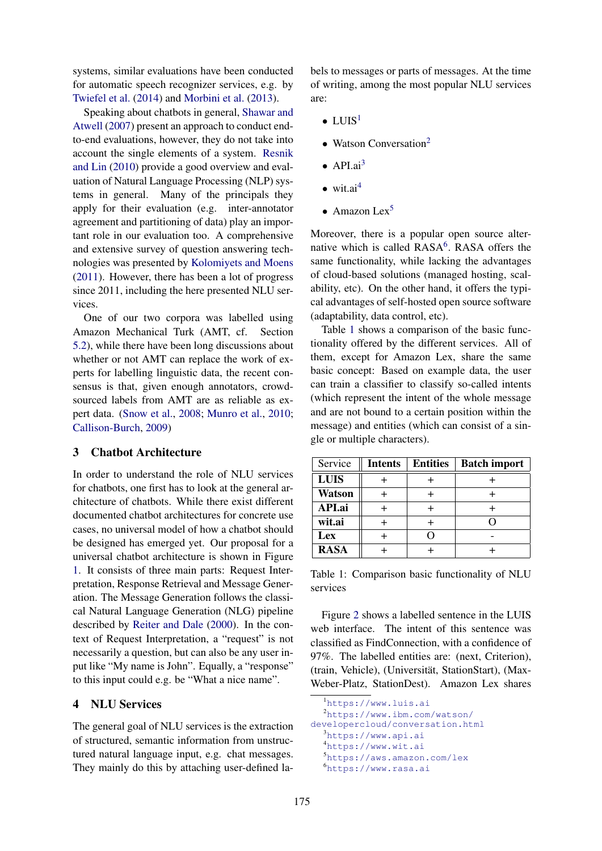systems, similar evaluations have been conducted for automatic speech recognizer services, e.g. by Twiefel et al. (2014) and Morbini et al. (2013).

Speaking about chatbots in general, Shawar and Atwell (2007) present an approach to conduct endto-end evaluations, however, they do not take into account the single elements of a system. Resnik and Lin (2010) provide a good overview and evaluation of Natural Language Processing (NLP) systems in general. Many of the principals they apply for their evaluation (e.g. inter-annotator agreement and partitioning of data) play an important role in our evaluation too. A comprehensive and extensive survey of question answering technologies was presented by Kolomiyets and Moens (2011). However, there has been a lot of progress since 2011, including the here presented NLU services.

One of our two corpora was labelled using Amazon Mechanical Turk (AMT, cf. Section 5.2), while there have been long discussions about whether or not AMT can replace the work of experts for labelling linguistic data, the recent consensus is that, given enough annotators, crowdsourced labels from AMT are as reliable as expert data. (Snow et al., 2008; Munro et al., 2010; Callison-Burch, 2009)

## 3 Chatbot Architecture

In order to understand the role of NLU services for chatbots, one first has to look at the general architecture of chatbots. While there exist different documented chatbot architectures for concrete use cases, no universal model of how a chatbot should be designed has emerged yet. Our proposal for a universal chatbot architecture is shown in Figure 1. It consists of three main parts: Request Interpretation, Response Retrieval and Message Generation. The Message Generation follows the classical Natural Language Generation (NLG) pipeline described by Reiter and Dale (2000). In the context of Request Interpretation, a "request" is not necessarily a question, but can also be any user input like "My name is John". Equally, a "response" to this input could e.g. be "What a nice name".

### 4 NLU Services

The general goal of NLU services is the extraction of structured, semantic information from unstructured natural language input, e.g. chat messages. They mainly do this by attaching user-defined labels to messages or parts of messages. At the time of writing, among the most popular NLU services are:

- $\bullet$  LUIS<sup>1</sup>
- Watson Conversation<sup>2</sup>
- $\bullet$  API.ai<sup>3</sup>
- wit.ai $4$
- Amazon Lex<sup>5</sup>

Moreover, there is a popular open source alternative which is called RASA<sup>6</sup>. RASA offers the same functionality, while lacking the advantages of cloud-based solutions (managed hosting, scalability, etc). On the other hand, it offers the typical advantages of self-hosted open source software (adaptability, data control, etc).

Table 1 shows a comparison of the basic functionality offered by the different services. All of them, except for Amazon Lex, share the same basic concept: Based on example data, the user can train a classifier to classify so-called intents (which represent the intent of the whole message and are not bound to a certain position within the message) and entities (which can consist of a single or multiple characters).

| Service       | <b>Intents</b> | <b>Entities</b> | <b>Batch import</b> |
|---------------|----------------|-----------------|---------------------|
| <b>LUIS</b>   |                |                 |                     |
| <b>Watson</b> |                |                 |                     |
| API.ai        |                |                 |                     |
| wit.ai        |                |                 |                     |
| Lex           |                |                 |                     |
| <b>RASA</b>   |                |                 |                     |

Table 1: Comparison basic functionality of NLU services

Figure 2 shows a labelled sentence in the LUIS web interface. The intent of this sentence was classified as FindConnection, with a confidence of 97%. The labelled entities are: (next, Criterion), (train, Vehicle), (Universität, StationStart), (Max-Weber-Platz, StationDest). Amazon Lex shares

<sup>2</sup>https://www.ibm.com/watson/ developercloud/conversation.html <sup>3</sup>https://www.api.ai

<sup>4</sup>https://www.wit.ai

<sup>5</sup>https://aws.amazon.com/lex

<sup>1</sup>https://www.luis.ai

<sup>6</sup>https://www.rasa.ai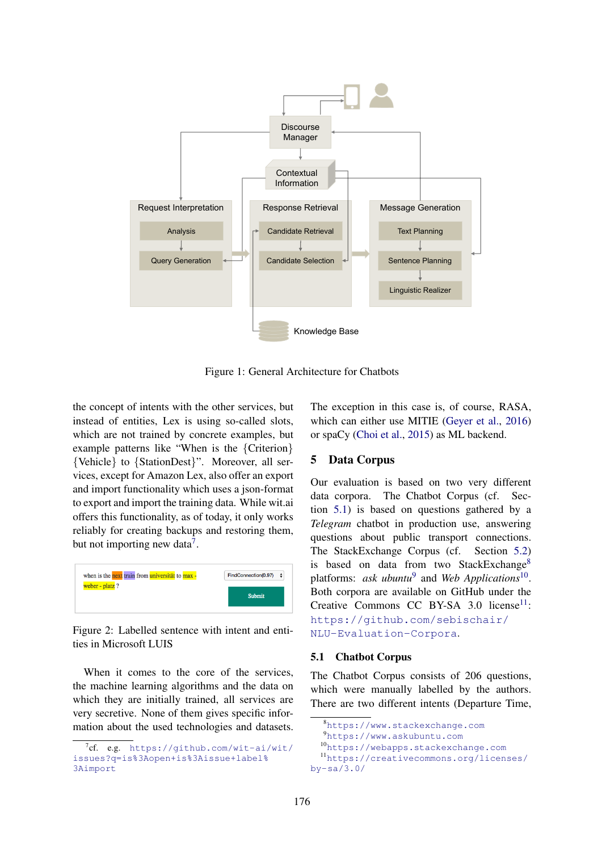

Figure 1: General Architecture for Chatbots

the concept of intents with the other services, but instead of entities, Lex is using so-called slots, which are not trained by concrete examples, but example patterns like "When is the {Criterion} {Vehicle} to {StationDest}". Moreover, all services, except for Amazon Lex, also offer an export and import functionality which uses a json-format to export and import the training data. While wit.ai offers this functionality, as of today, it only works reliably for creating backups and restoring them, but not importing new data<sup>7</sup>.



Figure 2: Labelled sentence with intent and entities in Microsoft LUIS

When it comes to the core of the services, the machine learning algorithms and the data on which they are initially trained, all services are very secretive. None of them gives specific information about the used technologies and datasets. The exception in this case is, of course, RASA, which can either use MITIE (Geyer et al., 2016) or spaCy (Choi et al., 2015) as ML backend.

## 5 Data Corpus

Our evaluation is based on two very different data corpora. The Chatbot Corpus (cf. Section 5.1) is based on questions gathered by a *Telegram* chatbot in production use, answering questions about public transport connections. The StackExchange Corpus (cf. Section 5.2) is based on data from two StackExchange<sup>8</sup> platforms: *ask ubuntu*<sup>9</sup> and *Web Applications*<sup>10</sup>. Both corpora are available on GitHub under the Creative Commons CC BY-SA  $3.0$  license<sup>11</sup>: https://github.com/sebischair/ NLU-Evaluation-Corpora.

#### 5.1 Chatbot Corpus

The Chatbot Corpus consists of 206 questions, which were manually labelled by the authors. There are two different intents (Departure Time,

```
176
```
 $7$ cf. e.g. https://github.com/wit-ai/wit/ issues?q=is%3Aopen+is%3Aissue+label% 3Aimport

<sup>8</sup>https://www.stackexchange.com

<sup>9</sup>https://www.askubuntu.com

<sup>10</sup>https://webapps.stackexchange.com

<sup>11</sup>https://creativecommons.org/licenses/ by-sa/3.0/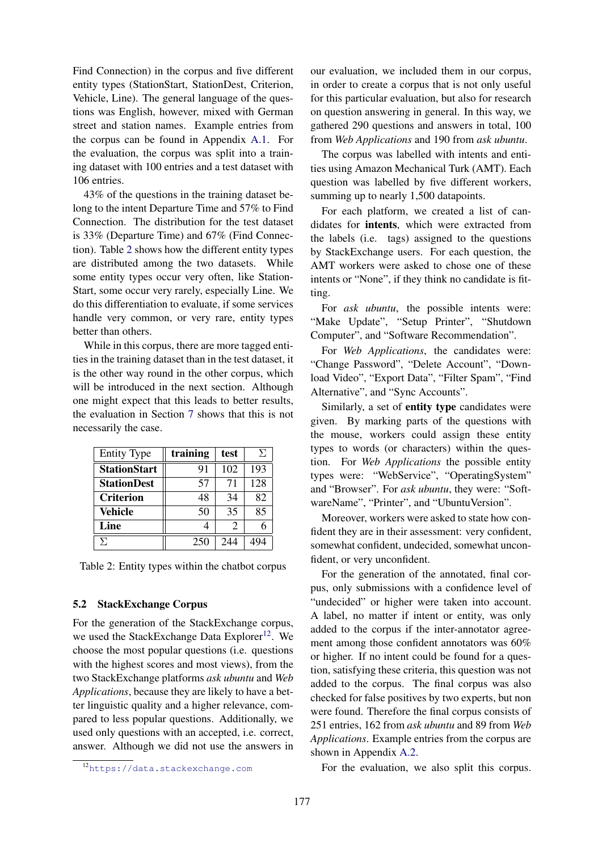Find Connection) in the corpus and five different entity types (StationStart, StationDest, Criterion, Vehicle, Line). The general language of the questions was English, however, mixed with German street and station names. Example entries from the corpus can be found in Appendix A.1. For the evaluation, the corpus was split into a training dataset with 100 entries and a test dataset with 106 entries.

43% of the questions in the training dataset belong to the intent Departure Time and 57% to Find Connection. The distribution for the test dataset is 33% (Departure Time) and 67% (Find Connection). Table 2 shows how the different entity types are distributed among the two datasets. While some entity types occur very often, like Station-Start, some occur very rarely, especially Line. We do this differentiation to evaluate, if some services handle very common, or very rare, entity types better than others.

While in this corpus, there are more tagged entities in the training dataset than in the test dataset, it is the other way round in the other corpus, which will be introduced in the next section. Although one might expect that this leads to better results, the evaluation in Section 7 shows that this is not necessarily the case.

| <b>Entity Type</b>  | training | test                        | У.  |
|---------------------|----------|-----------------------------|-----|
| <b>StationStart</b> | 91       | 102                         | 193 |
| <b>StationDest</b>  | 57       | 71                          | 128 |
| <b>Criterion</b>    | 48       | 34                          | 82  |
| <b>Vehicle</b>      | 50       | 35                          | 85  |
| Line                |          | $\mathcal{D}_{\mathcal{A}}$ |     |
| Σ.                  | 250      | 244                         |     |

Table 2: Entity types within the chatbot corpus

#### 5.2 StackExchange Corpus

For the generation of the StackExchange corpus, we used the StackExchange Data Explorer<sup>12</sup>. We choose the most popular questions (i.e. questions with the highest scores and most views), from the two StackExchange platforms *ask ubuntu* and *Web Applications*, because they are likely to have a better linguistic quality and a higher relevance, compared to less popular questions. Additionally, we used only questions with an accepted, i.e. correct, answer. Although we did not use the answers in

<sup>12</sup>https://data.stackexchange.com

our evaluation, we included them in our corpus, in order to create a corpus that is not only useful for this particular evaluation, but also for research on question answering in general. In this way, we gathered 290 questions and answers in total, 100 from *Web Applications* and 190 from *ask ubuntu*.

The corpus was labelled with intents and entities using Amazon Mechanical Turk (AMT). Each question was labelled by five different workers, summing up to nearly 1,500 datapoints.

For each platform, we created a list of candidates for intents, which were extracted from the labels (i.e. tags) assigned to the questions by StackExchange users. For each question, the AMT workers were asked to chose one of these intents or "None", if they think no candidate is fitting.

For *ask ubuntu*, the possible intents were: "Make Update", "Setup Printer", "Shutdown Computer", and "Software Recommendation".

For *Web Applications*, the candidates were: "Change Password", "Delete Account", "Download Video", "Export Data", "Filter Spam", "Find Alternative", and "Sync Accounts".

Similarly, a set of entity type candidates were given. By marking parts of the questions with the mouse, workers could assign these entity types to words (or characters) within the question. For *Web Applications* the possible entity types were: "WebService", "OperatingSystem" and "Browser". For *ask ubuntu*, they were: "SoftwareName", "Printer", and "UbuntuVersion".

Moreover, workers were asked to state how confident they are in their assessment: very confident, somewhat confident, undecided, somewhat unconfident, or very unconfident.

For the generation of the annotated, final corpus, only submissions with a confidence level of "undecided" or higher were taken into account. A label, no matter if intent or entity, was only added to the corpus if the inter-annotator agreement among those confident annotators was 60% or higher. If no intent could be found for a question, satisfying these criteria, this question was not added to the corpus. The final corpus was also checked for false positives by two experts, but non were found. Therefore the final corpus consists of 251 entries, 162 from *ask ubuntu* and 89 from *Web Applications*. Example entries from the corpus are shown in Appendix A.2.

For the evaluation, we also split this corpus.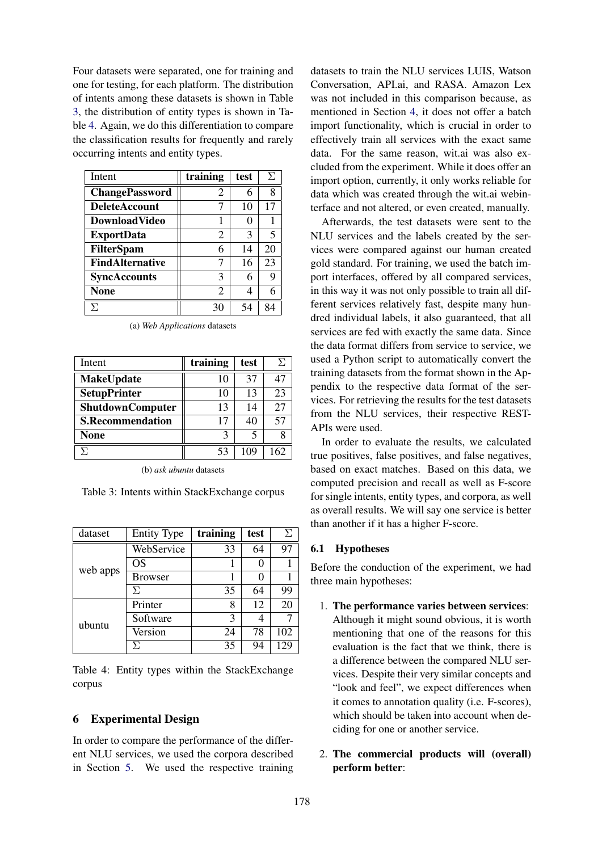Four datasets were separated, one for training and one for testing, for each platform. The distribution of intents among these datasets is shown in Table 3, the distribution of entity types is shown in Table 4. Again, we do this differentiation to compare the classification results for frequently and rarely occurring intents and entity types.

| Intent                 | training | test | Σ  |
|------------------------|----------|------|----|
| <b>ChangePassword</b>  | 2        | 6    | 8  |
| <b>DeleteAccount</b>   |          | 10   | 17 |
| DownloadVideo          |          | 0    |    |
| <b>ExportData</b>      | 2        | 3    | 5  |
| <b>FilterSpam</b>      | 6        | 14   | 20 |
| <b>FindAlternative</b> |          | 16   | 23 |
| <b>SyncAccounts</b>    | 3        | 6    | 9  |
| <b>None</b>            | 2        | 4    | 6  |
| Я                      |          | 54   | Q⊿ |

| Intent                  | training | test | У.  |
|-------------------------|----------|------|-----|
| <b>MakeUpdate</b>       | 10       | 37   | 47  |
| <b>SetupPrinter</b>     | 10       | 13   | 23  |
| ShutdownComputer        | 13       | 14   | 27  |
| <b>S.Recommendation</b> | 17       | 40   | 57  |
| <b>None</b>             | 3        |      |     |
|                         | 53       | 109  | 162 |

(a) *Web Applications* datasets

Table 3: Intents within StackExchange corpus

| dataset  | <b>Entity Type</b> | training                  | test | Я   |
|----------|--------------------|---------------------------|------|-----|
|          | WebService         | 33                        | 64   | 97  |
| web apps | OS                 |                           |      |     |
|          | <b>Browser</b>     |                           |      |     |
|          | У.                 | 35                        | 64   | 99  |
|          | Printer            | 8                         | 12   | 20  |
| ubuntu   | Software           | 3<br>78<br>24<br>35<br>94 |      |     |
|          | Version            |                           |      | 102 |
|          |                    |                           |      | 129 |

Table 4: Entity types within the StackExchange corpus

#### 6 Experimental Design

In order to compare the performance of the different NLU services, we used the corpora described in Section 5. We used the respective training

datasets to train the NLU services LUIS, Watson Conversation, API.ai, and RASA. Amazon Lex was not included in this comparison because, as mentioned in Section 4, it does not offer a batch import functionality, which is crucial in order to effectively train all services with the exact same data. For the same reason, wit.ai was also excluded from the experiment. While it does offer an import option, currently, it only works reliable for data which was created through the wit.ai webinterface and not altered, or even created, manually.

Afterwards, the test datasets were sent to the NLU services and the labels created by the services were compared against our human created gold standard. For training, we used the batch import interfaces, offered by all compared services, in this way it was not only possible to train all different services relatively fast, despite many hundred individual labels, it also guaranteed, that all services are fed with exactly the same data. Since the data format differs from service to service, we used a Python script to automatically convert the training datasets from the format shown in the Appendix to the respective data format of the services. For retrieving the results for the test datasets from the NLU services, their respective REST-APIs were used.

In order to evaluate the results, we calculated true positives, false positives, and false negatives, based on exact matches. Based on this data, we computed precision and recall as well as F-score for single intents, entity types, and corpora, as well as overall results. We will say one service is better than another if it has a higher F-score.

#### 6.1 Hypotheses

Before the conduction of the experiment, we had three main hypotheses:

- 1. The performance varies between services: Although it might sound obvious, it is worth mentioning that one of the reasons for this evaluation is the fact that we think, there is a difference between the compared NLU services. Despite their very similar concepts and "look and feel", we expect differences when it comes to annotation quality (i.e. F-scores), which should be taken into account when deciding for one or another service.
- 2. The commercial products will (overall) perform better: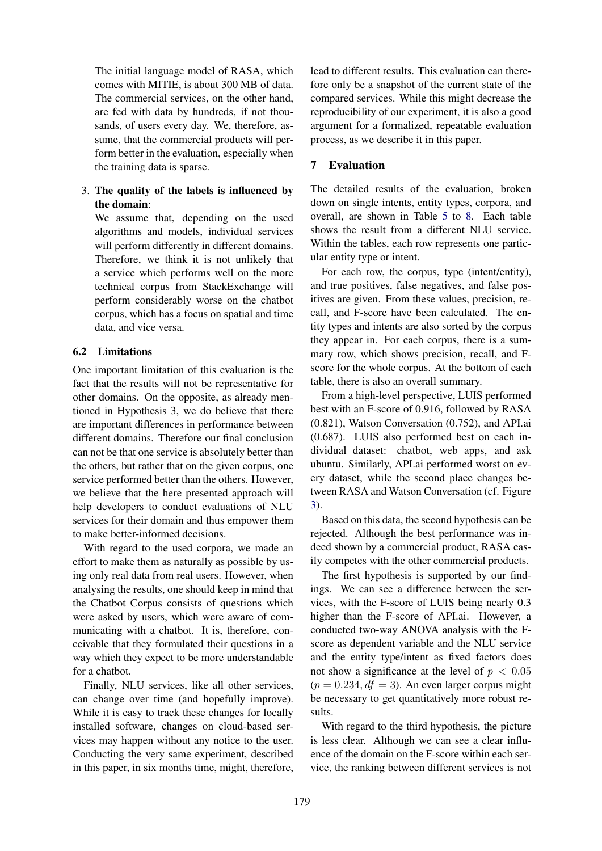The initial language model of RASA, which comes with MITIE, is about 300 MB of data. The commercial services, on the other hand, are fed with data by hundreds, if not thousands, of users every day. We, therefore, assume, that the commercial products will perform better in the evaluation, especially when the training data is sparse.

## 3. The quality of the labels is influenced by the domain:

We assume that, depending on the used algorithms and models, individual services will perform differently in different domains. Therefore, we think it is not unlikely that a service which performs well on the more technical corpus from StackExchange will perform considerably worse on the chatbot corpus, which has a focus on spatial and time data, and vice versa.

## 6.2 Limitations

One important limitation of this evaluation is the fact that the results will not be representative for other domains. On the opposite, as already mentioned in Hypothesis 3, we do believe that there are important differences in performance between different domains. Therefore our final conclusion can not be that one service is absolutely better than the others, but rather that on the given corpus, one service performed better than the others. However, we believe that the here presented approach will help developers to conduct evaluations of NLU services for their domain and thus empower them to make better-informed decisions.

With regard to the used corpora, we made an effort to make them as naturally as possible by using only real data from real users. However, when analysing the results, one should keep in mind that the Chatbot Corpus consists of questions which were asked by users, which were aware of communicating with a chatbot. It is, therefore, conceivable that they formulated their questions in a way which they expect to be more understandable for a chatbot.

Finally, NLU services, like all other services, can change over time (and hopefully improve). While it is easy to track these changes for locally installed software, changes on cloud-based services may happen without any notice to the user. Conducting the very same experiment, described in this paper, in six months time, might, therefore,

lead to different results. This evaluation can therefore only be a snapshot of the current state of the compared services. While this might decrease the reproducibility of our experiment, it is also a good argument for a formalized, repeatable evaluation process, as we describe it in this paper.

## 7 Evaluation

The detailed results of the evaluation, broken down on single intents, entity types, corpora, and overall, are shown in Table 5 to 8. Each table shows the result from a different NLU service. Within the tables, each row represents one particular entity type or intent.

For each row, the corpus, type (intent/entity), and true positives, false negatives, and false positives are given. From these values, precision, recall, and F-score have been calculated. The entity types and intents are also sorted by the corpus they appear in. For each corpus, there is a summary row, which shows precision, recall, and Fscore for the whole corpus. At the bottom of each table, there is also an overall summary.

From a high-level perspective, LUIS performed best with an F-score of 0.916, followed by RASA (0.821), Watson Conversation (0.752), and API.ai (0.687). LUIS also performed best on each individual dataset: chatbot, web apps, and ask ubuntu. Similarly, API.ai performed worst on every dataset, while the second place changes between RASA and Watson Conversation (cf. Figure 3).

Based on this data, the second hypothesis can be rejected. Although the best performance was indeed shown by a commercial product, RASA easily competes with the other commercial products.

The first hypothesis is supported by our findings. We can see a difference between the services, with the F-score of LUIS being nearly 0.3 higher than the F-score of API.ai. However, a conducted two-way ANOVA analysis with the Fscore as dependent variable and the NLU service and the entity type/intent as fixed factors does not show a significance at the level of  $p < 0.05$  $(p = 0.234, df = 3)$ . An even larger corpus might be necessary to get quantitatively more robust results.

With regard to the third hypothesis, the picture is less clear. Although we can see a clear influence of the domain on the F-score within each service, the ranking between different services is not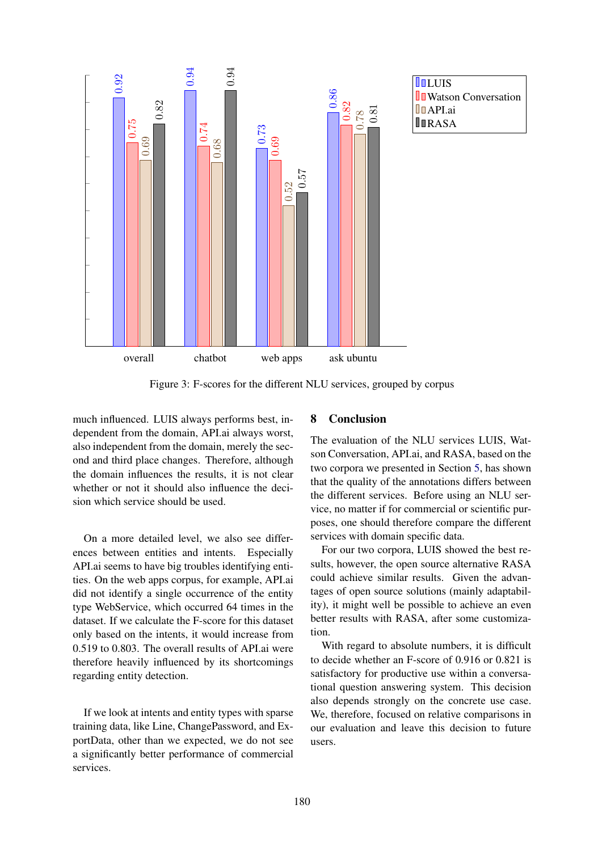

**L**UIS **U** Watson Conversation **D**APLai **IIRASA** 

Figure 3: F-scores for the different NLU services, grouped by corpus

much influenced. LUIS always performs best, independent from the domain, API.ai always worst, also independent from the domain, merely the second and third place changes. Therefore, although the domain influences the results, it is not clear whether or not it should also influence the decision which service should be used.

On a more detailed level, we also see differences between entities and intents. Especially API.ai seems to have big troubles identifying entities. On the web apps corpus, for example, API.ai did not identify a single occurrence of the entity type WebService, which occurred 64 times in the dataset. If we calculate the F-score for this dataset only based on the intents, it would increase from 0.519 to 0.803. The overall results of API.ai were therefore heavily influenced by its shortcomings regarding entity detection.

If we look at intents and entity types with sparse training data, like Line, ChangePassword, and ExportData, other than we expected, we do not see a significantly better performance of commercial services.

### 8 Conclusion

The evaluation of the NLU services LUIS, Watson Conversation, API.ai, and RASA, based on the two corpora we presented in Section 5, has shown that the quality of the annotations differs between the different services. Before using an NLU service, no matter if for commercial or scientific purposes, one should therefore compare the different services with domain specific data.

For our two corpora, LUIS showed the best results, however, the open source alternative RASA could achieve similar results. Given the advantages of open source solutions (mainly adaptability), it might well be possible to achieve an even better results with RASA, after some customization.

With regard to absolute numbers, it is difficult to decide whether an F-score of 0.916 or 0.821 is satisfactory for productive use within a conversational question answering system. This decision also depends strongly on the concrete use case. We, therefore, focused on relative comparisons in our evaluation and leave this decision to future users.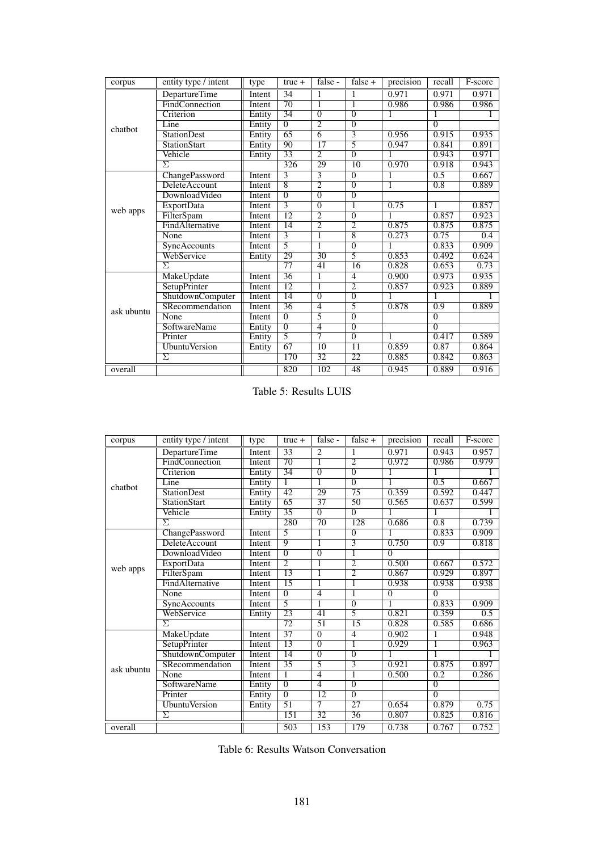| corpus     | entity type / intent | type          | $true +$        | false -         | false $+$       | precision | recall           | F-score |
|------------|----------------------|---------------|-----------------|-----------------|-----------------|-----------|------------------|---------|
|            | DepartureTime        | Intent        | 34              | 1               |                 | 0.971     | 0.971            | 0.971   |
| chatbot    | FindConnection       | <b>Intent</b> | $\overline{70}$ |                 | ī               | 0.986     | 0.986            | 0.986   |
|            | Criterion            | Entity        | 34              | $\overline{0}$  | $\overline{0}$  |           |                  |         |
|            | Line                 | Entity        | $\overline{0}$  | $\overline{2}$  | $\overline{0}$  |           | $\overline{0}$   |         |
|            | <b>StationDest</b>   | Entity        | $\overline{65}$ | $\overline{6}$  | $\overline{3}$  | 0.956     | 0.915            | 0.935   |
|            | <b>StationStart</b>  | Entity        | 90              | 17              | 5               | 0.947     | 0.841            | 0.891   |
|            | Vehicle              | Entity        | 33              | $\overline{2}$  | $\overline{0}$  | 1         | 0.943            | 0.971   |
|            | Σ                    |               | 326             | 29              | 10              | 0.970     | 0.918            | 0.943   |
|            | ChangePassword       | Intent        | 3               | $\overline{3}$  | $\overline{0}$  |           | 0.5              | 0.667   |
|            | DeleteAccount        | Intent        | $\overline{8}$  | $\overline{2}$  | $\overline{0}$  | 1         | 0.8              | 0.889   |
|            | DownloadVideo        | Intent        | $\overline{0}$  | $\overline{0}$  | $\overline{0}$  |           |                  |         |
| web apps   | <b>ExportData</b>    | Intent        | $\overline{3}$  | $\overline{0}$  | ī               | 0.75      | 1                | 0.857   |
|            | FilterSpam           | Intent        | 12              | $\overline{2}$  | $\overline{0}$  |           | 0.857            | 0.923   |
|            | FindAlternative      | Intent        | $\overline{14}$ | $\overline{2}$  | $\overline{2}$  | 0.875     | 0.875            | 0.875   |
|            | None                 | Intent        | $\overline{3}$  | 1               | $\overline{8}$  | 0.273     | 0.75             | 0.4     |
|            | SyncAccounts         | Intent        | $\overline{5}$  |                 | $\overline{0}$  |           | 0.833            | 0.909   |
|            | WebService           | Entity        | 29              | $\overline{30}$ | 5               | 0.853     | 0.492            | 0.624   |
|            | Σ                    |               | 77              | 41              | 16              | 0.828     | 0.653            | 0.73    |
|            | MakeUpdate           | Intent        | $\overline{36}$ | 1               | $\overline{4}$  | 0.900     | 0.973            | 0.935   |
|            | SetupPrinter         | Intent        | 12              | ī               | $\overline{2}$  | 0.857     | 0.923            | 0.889   |
|            | ShutdownComputer     | Intent        | 14              | $\overline{0}$  | $\overline{0}$  |           |                  |         |
| ask ubuntu | SRecommendation      | Intent        | 36              | $\overline{4}$  | 5               | 0.878     | $\overline{0.9}$ | 0.889   |
|            | None                 | Intent        | $\overline{0}$  | 5               | $\overline{0}$  |           | $\overline{0}$   |         |
|            | <b>SoftwareName</b>  | Entity        | $\overline{0}$  | $\overline{4}$  | $\overline{0}$  |           | $\overline{0}$   |         |
|            | Printer              | Entity        | 5               | 7               | $\overline{0}$  |           | 0.417            | 0.589   |
|            | <b>UbuntuVersion</b> | Entity        | 67              | $\overline{10}$ | $\overline{11}$ | 0.859     | 0.87             | 0.864   |
|            | $\Sigma$             |               | 170             | $\overline{32}$ | $\overline{22}$ | 0.885     | 0.842            | 0.863   |
| overall    |                      |               | 820             | 102             | 48              | 0.945     | 0.889            | 0.916   |

Table 5: Results LUIS

| corpus     | entity type / intent | type   | $true +$        | false -         | false $+$               | precision      | recall           | F-score |
|------------|----------------------|--------|-----------------|-----------------|-------------------------|----------------|------------------|---------|
|            | DepartureTime        | Intent | $\overline{33}$ | $\overline{2}$  | 1                       | 0.971          | 0.943            | 0.957   |
| chatbot    | FindConnection       | Intent | 70              | $\overline{1}$  | $\overline{2}$          | 0.972          | 0.986            | 0.979   |
|            | Criterion            | Entity | 34              | $\overline{0}$  | $\overline{0}$          | 1              |                  |         |
|            | Line                 | Entity | $\overline{1}$  | 1               | $\overline{0}$          | 1              | 0.5              | 0.667   |
|            | <b>StationDest</b>   | Entity | 42              | 29              | 75                      | 0.359          | 0.592            | 0.447   |
|            | <b>StationStart</b>  | Entity | 65              | $\overline{37}$ | $\overline{50}$         | 0.565          | 0.637            | 0.599   |
|            | Vehicle              | Entity | 35              | $\overline{0}$  | $\overline{0}$          |                |                  |         |
|            | $\overline{\Sigma}$  |        | 280             | $\overline{70}$ | 128                     | 0.686          | $\overline{0.8}$ | 0.739   |
|            | ChangePassword       | Intent | $\overline{5}$  | $\overline{1}$  | $\overline{0}$          |                | 0.833            | 0.909   |
|            | DeleteAccount        | Intent | 9               |                 | $\overline{\mathbf{3}}$ | 0.750          | 0.9              | 0.818   |
|            | DownloadVideo        | Intent | $\overline{0}$  | $\overline{0}$  | 1                       | $\overline{0}$ |                  |         |
|            | <b>ExportData</b>    | Intent | $\overline{2}$  | 1               | 2                       | 0.500          | 0.667            | 0.572   |
| web apps   | FilterSpam           | Intent | $\overline{13}$ | 1               | $\overline{2}$          | 0.867          | 0.929            | 0.897   |
|            | FindAlternative      | Intent | 15              | 1               | 1                       | 0.938          | 0.938            | 0.938   |
|            | None                 | Intent | $\overline{0}$  | 4               | 1                       | $\overline{0}$ | $\overline{0}$   |         |
|            | SyncAccounts         | Intent | $\overline{5}$  | 1               | $\overline{0}$          | 1              | 0.833            | 0.909   |
|            | WebService           | Entity | 23              | 41              | 5                       | 0.821          | 0.359            | 0.5     |
|            | $\overline{\Sigma}$  |        | $\overline{72}$ | 51              | $\overline{15}$         | 0.828          | 0.585            | 0.686   |
|            | MakeUpdate           | Intent | $\overline{37}$ | $\overline{0}$  | $\overline{4}$          | 0.902          | 1                | 0.948   |
|            | SetupPrinter         | Intent | $\overline{13}$ | $\overline{0}$  | ī                       | 0.929          | ī                | 0.963   |
|            | ShutdownComputer     | Intent | $\overline{14}$ | $\overline{0}$  | $\overline{0}$          | 1              | 1                |         |
| ask ubuntu | SRecommendation      | Intent | 35              | 5               | 3                       | 0.921          | 0.875            | 0.897   |
|            | None                 | Intent | $\overline{1}$  | $\overline{4}$  | 1                       | 0.500          | $\overline{0.2}$ | 0.286   |
|            | SoftwareName         | Entity | $\overline{0}$  | 4               | $\overline{0}$          |                | $\overline{0}$   |         |
|            | Printer              | Entity | $\overline{0}$  | $\overline{12}$ | $\overline{0}$          |                | $\overline{0}$   |         |
|            | <b>UbuntuVersion</b> | Entity | $\overline{51}$ | 7               | $\overline{27}$         | 0.654          | 0.879            | 0.75    |
|            | Σ                    |        | 151             | $\overline{32}$ | $\overline{36}$         | 0.807          | 0.825            | 0.816   |
| overall    |                      |        | 503             | 153             | 179                     | 0.738          | 0.767            | 0.752   |

Table 6: Results Watson Conversation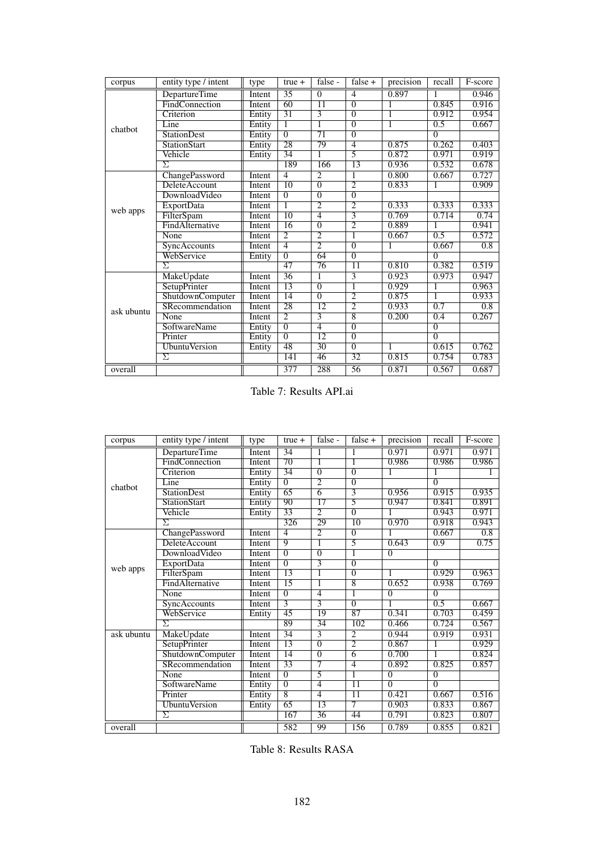| corpus     | entity type / intent | type   | $true +$        | false -         | false $+$       | precision | recall         | F-score          |
|------------|----------------------|--------|-----------------|-----------------|-----------------|-----------|----------------|------------------|
|            | DepartureTime        | Intent | 35              | $\Omega$        | $\overline{4}$  | 0.897     |                | 0.946            |
| chatbot    | FindConnection       | Intent | 60              | $\overline{11}$ | $\overline{0}$  | 1         | 0.845          | 0.916            |
|            | Criterion            | Entity | $\overline{31}$ | $\overline{3}$  | $\overline{0}$  | 1         | 0.912          | 0.954            |
|            | Line                 | Entity | 1               | 1               | $\overline{0}$  | 1         | 0.5            | 0.667            |
|            | <b>StationDest</b>   | Entity | $\overline{0}$  | $\overline{71}$ | $\overline{0}$  |           | $\overline{0}$ |                  |
|            | <b>StationStart</b>  | Entity | 28              | 79              | $\overline{4}$  | 0.875     | 0.262          | 0.403            |
|            | Vehicle              | Entity | $\overline{34}$ | 1               | 5               | 0.872     | 0.971          | 0.919            |
|            | Σ                    |        | 189             | 166             | 13              | 0.936     | 0.532          | 0.678            |
|            | ChangePassword       | Intent | $\overline{4}$  | $\overline{2}$  | 1               | 0.800     | 0.667          | 0.727            |
|            | <b>DeleteAccount</b> | Intent | $\overline{10}$ | $\overline{0}$  | $\overline{2}$  | 0.833     | 1              | 0.909            |
|            | DownloadVideo        | Intent | $\overline{0}$  | $\overline{0}$  | $\overline{0}$  |           |                |                  |
|            | <b>ExportData</b>    | Intent | 1               | $\overline{2}$  | $\overline{2}$  | 0.333     | 0.333          | 0.333            |
| web apps   | FilterSpam           | Intent | 10              | $\overline{4}$  | 3               | 0.769     | 0.714          | 0.74             |
|            | FindAlternative      | Intent | $\overline{16}$ | $\overline{0}$  | $\overline{2}$  | 0.889     |                | 0.941            |
|            | None                 | Intent | $\overline{2}$  | $\overline{2}$  | 1               | 0.667     | 0.5            | 0.572            |
|            | <b>SyncAccounts</b>  | Intent | $\overline{4}$  | $\overline{2}$  | $\overline{0}$  |           | 0.667          | $\overline{0.8}$ |
|            | WebService           | Entity | $\overline{0}$  | 64              | $\overline{0}$  |           | $\overline{0}$ |                  |
|            | Σ                    |        | 47              | 76              | $\overline{11}$ | 0.810     | 0.382          | 0.519            |
|            | MakeUpdate           | Intent | 36              | 1               | $\overline{3}$  | 0.923     | 0.973          | 0.947            |
|            | SetupPrinter         | Intent | 13              | $\overline{0}$  | ī               | 0.929     | 1              | 0.963            |
|            | ShutdownComputer     | Intent | 14              | $\overline{0}$  | $\overline{2}$  | 0.875     | 1              | 0.933            |
| ask ubuntu | SRecommendation      | Intent | $\overline{28}$ | $\overline{12}$ | $\overline{2}$  | 0.933     | 0.7            | 0.8              |
|            | None                 | Intent | $\overline{2}$  | $\overline{3}$  | $\overline{8}$  | 0.200     | 0.4            | 0.267            |
|            | <b>SoftwareName</b>  | Entity | $\overline{0}$  | $\overline{4}$  | $\overline{0}$  |           | $\overline{0}$ |                  |
|            | Printer              | Entity | $\overline{0}$  | 12              | $\overline{0}$  |           | $\Omega$       |                  |
|            | <b>UbuntuVersion</b> | Entity | 48              | $\overline{30}$ | $\overline{0}$  |           | 0.615          | 0.762            |
|            | $\overline{\Sigma}$  |        | 141             | 46              | $\overline{32}$ | 0.815     | 0.754          | 0.783            |
| overall    |                      |        | 377             | 288             | 56              | 0.871     | 0.567          | 0.687            |

Table 7: Results API.ai

| corpus     | entity type / intent | type   | $true +$        | false -         | false $+$       | precision      | recall         | F-score |
|------------|----------------------|--------|-----------------|-----------------|-----------------|----------------|----------------|---------|
|            | DepartureTime        | Intent | $\overline{34}$ | 1               | 1               | 0.971          | 0.971          | 0.971   |
|            | FindConnection       | Intent | $\overline{70}$ | 1               | 1               | 0.986          | 0.986          | 0.986   |
|            | Criterion            | Entity | $\overline{34}$ | $\overline{0}$  | $\overline{0}$  | 1              |                |         |
| chatbot    | Line                 | Entity | $\overline{0}$  | $\overline{2}$  | $\overline{0}$  |                | $\overline{0}$ |         |
|            | <b>StationDest</b>   | Entity | 65              | $\overline{6}$  | 3               | 0.956          | 0.915          | 0.935   |
|            | <b>StationStart</b>  | Entity | 90              | $\overline{17}$ | $\overline{5}$  | 0.947          | 0.841          | 0.891   |
|            | Vehicle              | Entity | 33              | $\overline{2}$  | $\overline{0}$  |                | 0.943          | 0.971   |
|            | $\overline{\Sigma}$  |        | 326             | 29              | $\overline{10}$ | 0.970          | 0.918          | 0.943   |
|            | ChangePassword       | Intent | $\overline{4}$  | $\overline{2}$  | $\overline{0}$  | 1              | 0.667          | 0.8     |
|            | DeleteAccount        | Intent | 9               |                 | 5               | 0.643          | 0.9            | 0.75    |
|            | DownloadVideo        | Intent | $\overline{0}$  | $\overline{0}$  | ī               | $\overline{0}$ |                |         |
| web apps   | <b>ExportData</b>    | Intent | $\overline{0}$  | 3               | $\overline{0}$  |                | $\overline{0}$ |         |
|            | FilterSpam           | Intent | $\overline{13}$ |                 | $\overline{0}$  |                | 0.929          | 0.963   |
|            | FindAlternative      | Intent | 15              |                 | $\overline{8}$  | 0.652          | 0.938          | 0.769   |
|            | None                 | Intent | $\overline{0}$  | $\overline{4}$  | 1               | $\overline{0}$ | $\overline{0}$ |         |
|            | SyncAccounts         | Intent | $\overline{3}$  | 3               | $\overline{0}$  |                | 0.5            | 0.667   |
|            | WebService           | Entity | 45              | 19              | 87              | 0.341          | 0.703          | 0.459   |
|            | $\overline{\Sigma}$  |        | 89              | 34              | 102             | 0.466          | 0.724          | 0.567   |
| ask ubuntu | MakeUpdate           | Intent | $\overline{34}$ | $\overline{3}$  | $\overline{2}$  | 0.944          | 0.919          | 0.931   |
|            | SetupPrinter         | Intent | $\overline{13}$ | $\overline{0}$  | $\overline{2}$  | 0.867          | 1              | 0.929   |
|            | ShutdownComputer     | Intent | $\overline{14}$ | $\overline{0}$  | $\overline{6}$  | 0.700          | 1              | 0.824   |
|            | SRecommendation      | Intent | 33              | 7               | 4               | 0.892          | 0.825          | 0.857   |
|            | None                 | Intent | $\overline{0}$  | 5               | 1               | $\overline{0}$ | $\overline{0}$ |         |
|            | SoftwareName         | Entity | $\overline{0}$  | 4               | $\overline{11}$ | $\overline{0}$ | $\overline{0}$ |         |
|            | Printer              | Entity | $\overline{8}$  | $\overline{4}$  | $\overline{11}$ | 0.421          | 0.667          | 0.516   |
|            | <b>UbuntuVersion</b> | Entity | 65              | 13              | 7               | 0.903          | 0.833          | 0.867   |
|            | Σ                    |        | 167             | 36              | 44              | 0.791          | 0.823          | 0.807   |
| overall    |                      |        | 582             | 99              | 156             | 0.789          | 0.855          | 0.821   |

Table 8: Results RASA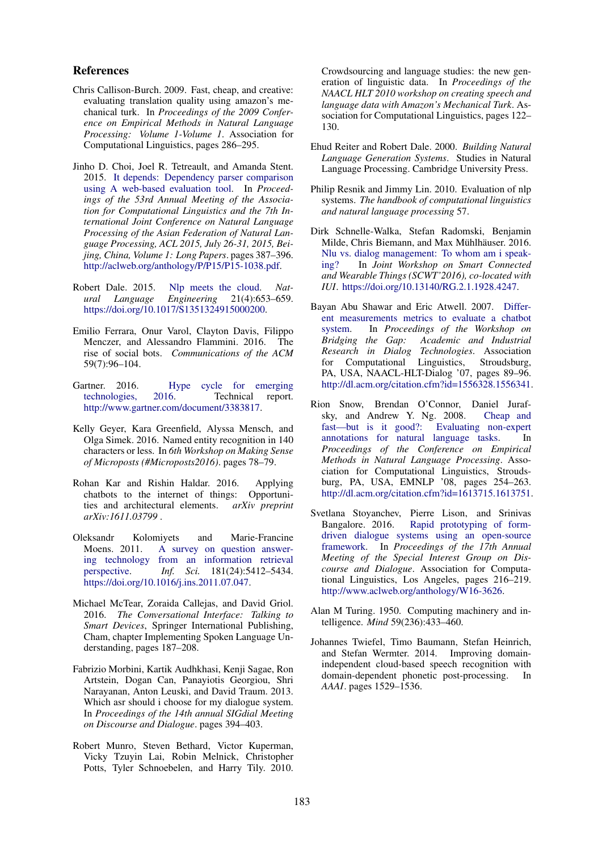#### References

- Chris Callison-Burch. 2009. Fast, cheap, and creative: evaluating translation quality using amazon's mechanical turk. In *Proceedings of the 2009 Conference on Empirical Methods in Natural Language Processing: Volume 1-Volume 1*. Association for Computational Linguistics, pages 286–295.
- Jinho D. Choi, Joel R. Tetreault, and Amanda Stent. 2015. It depends: Dependency parser comparison using A web-based evaluation tool. In *Proceedings of the 53rd Annual Meeting of the Association for Computational Linguistics and the 7th International Joint Conference on Natural Language Processing of the Asian Federation of Natural Language Processing, ACL 2015, July 26-31, 2015, Beijing, China, Volume 1: Long Papers*. pages 387–396. http://aclweb.org/anthology/P/P15/P15-1038.pdf.
- Robert Dale. 2015. Nlp meets the cloud. *Nat-*<br>*ural Language Engineering* 21(4):653–659. *ural Language Engineering* 21(4):653–659. https://doi.org/10.1017/S1351324915000200.
- Emilio Ferrara, Onur Varol, Clayton Davis, Filippo Menczer, and Alessandro Flammini. 2016. The rise of social bots. *Communications of the ACM* 59(7):96–104.
- Gartner. 2016. Hype cycle for emerging technologies, 2016. Technical report. http://www.gartner.com/document/3383817.
- Kelly Geyer, Kara Greenfield, Alyssa Mensch, and Olga Simek. 2016. Named entity recognition in 140 characters or less. In *6th Workshop on Making Sense of Microposts (#Microposts2016)*. pages 78–79.
- Rohan Kar and Rishin Haldar. 2016. Applying chatbots to the internet of things: Opportunities and architectural elements.  $arXiv$  preprint ties and architectural elements. *arXiv:1611.03799* .
- Oleksandr Kolomiyets and Marie-Francine<br>Moens 2011. A survey on question answer-A survey on question answering technology from an information retrieval<br>perspective. *Inf. Sci.* 181(24):5412–5434. perspective. *Inf. Sci.* 181(24):5412–5434. https://doi.org/10.1016/j.ins.2011.07.047.
- Michael McTear, Zoraida Callejas, and David Griol. 2016. *The Conversational Interface: Talking to Smart Devices*, Springer International Publishing, Cham, chapter Implementing Spoken Language Understanding, pages 187–208.
- Fabrizio Morbini, Kartik Audhkhasi, Kenji Sagae, Ron Artstein, Dogan Can, Panayiotis Georgiou, Shri Narayanan, Anton Leuski, and David Traum. 2013. Which asr should i choose for my dialogue system. In *Proceedings of the 14th annual SIGdial Meeting on Discourse and Dialogue*. pages 394–403.
- Robert Munro, Steven Bethard, Victor Kuperman, Vicky Tzuyin Lai, Robin Melnick, Christopher Potts, Tyler Schnoebelen, and Harry Tily. 2010.

Crowdsourcing and language studies: the new generation of linguistic data. In *Proceedings of the NAACL HLT 2010 workshop on creating speech and language data with Amazon's Mechanical Turk*. Association for Computational Linguistics, pages 122– 130.

- Ehud Reiter and Robert Dale. 2000. *Building Natural Language Generation Systems*. Studies in Natural Language Processing. Cambridge University Press.
- Philip Resnik and Jimmy Lin. 2010. Evaluation of nlp systems. *The handbook of computational linguistics and natural language processing* 57.
- Dirk Schnelle-Walka, Stefan Radomski, Benjamin Milde, Chris Biemann, and Max Mühlhäuser. 2016. Nlu vs. dialog management: To whom am i speaking? In *Joint Workshop on Smart Connected and Wearable Things (SCWT'2016), co-located with IUI*. https://doi.org/10.13140/RG.2.1.1928.4247.
- Bayan Abu Shawar and Eric Atwell. 2007. Different measurements metrics to evaluate a chatbot system. In *Proceedings of the Workshop on Bridging the Gap: Academic and Industrial Research in Dialog Technologies*. Association for Computational Linguistics, Stroudsburg, PA, USA, NAACL-HLT-Dialog '07, pages 89–96. http://dl.acm.org/citation.cfm?id=1556328.1556341.
- Rion Snow, Brendan O'Connor, Daniel Jurafsky, and Andrew Y. Ng. 2008. Cheap and fast—but is it good?: Evaluating non-expert annotations for natural language tasks. In *Proceedings of the Conference on Empirical Methods in Natural Language Processing*. Association for Computational Linguistics, Stroudsburg, PA, USA, EMNLP '08, pages 254–263. http://dl.acm.org/citation.cfm?id=1613715.1613751.
- Svetlana Stoyanchev, Pierre Lison, and Srinivas Rapid prototyping of formdriven dialogue systems using an open-source framework. In *Proceedings of the 17th Annual Meeting of the Special Interest Group on Discourse and Dialogue*. Association for Computational Linguistics, Los Angeles, pages 216–219. http://www.aclweb.org/anthology/W16-3626.
- Alan M Turing. 1950. Computing machinery and intelligence. *Mind* 59(236):433–460.
- Johannes Twiefel, Timo Baumann, Stefan Heinrich, and Stefan Wermter. 2014. Improving domainindependent cloud-based speech recognition with domain-dependent phonetic post-processing. In *AAAI*. pages 1529–1536.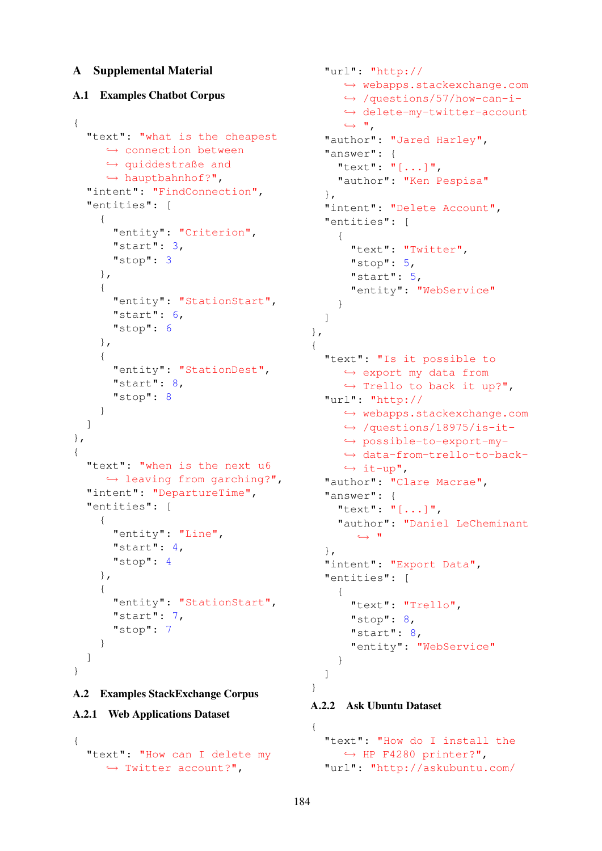# A Supplemental Material

# A.1 Examples Chatbot Corpus

```
{
  "text": "what is the cheapest
    → connection between
     \leftrightarrow quiddestraße and
     \hookrightarrow hauptbahnhof?",
  "intent": "FindConnection",
  "entities": [
    {
      "entity": "Criterion",
      "start": 3,
      "stop": 3
    },
    {
      "entity": "StationStart",
      "start": 6,
      "stop": 6
    },
    {
      "entity": "StationDest",
      "start": 8,
      "stop": 8
    }
  ]
},
{
  "text": "when is the next u6
    \hookrightarrow leaving from garching?",
  "intent": "DepartureTime",
  "entities": [
    {
      "entity": "Line",
      "start": 4,
      "stop": 4
    },
    {
      "entity": "StationStart",
      "start": 7,
      "stop": 7
    }
  ]
}
```
# A.2 Examples StackExchange Corpus

## A.2.1 Web Applications Dataset

```
{
  "text": "How can I delete my
     \hookrightarrow Twitter account?",
```

```
"url": "http://
     ,→ webapps.stackexchange.com
     ,→ /questions/57/how-can-i-
     → delete-my-twitter-account
     \hookrightarrow ^{\mathsf{H}},
  "author": "Jared Harley",
  "answer": {
    "text": "[...]",
    "author": "Ken Pespisa"
  },
  "intent": "Delete Account",
  "entities": [
   \left\{ \right."text": "Twitter",
      "stop": 5,
      "start": 5,
      "entity": "WebService"
    }
  ]
},
{
  "text": "Is it possible to
    ,→ export my data from
     \hookrightarrow Trello to back it up?",
  "url": "http://
     ,→ webapps.stackexchange.com
     ,→ /questions/18975/is-it-
     ,→ possible-to-export-my-
     ,→ data-from-trello-to-back-
     \leftrightarrow it-up",
  "author": "Clare Macrae",
  "answer": {
    "text": "[...]",
    "author": "Daniel LeCheminant
       ,→ "
  },
  "intent": "Export Data",
  "entities": [
    {
      "text": "Trello",
      "stop": 8,
      "start": 8,
      "entity": "WebService"
    }
  ]
```

```
A.2.2 Ask Ubuntu Dataset
```

```
{
  "text": "How do I install the
    \leftrightarrow HP F4280 printer?",
  "url": "http://askubuntu.com/
```
}